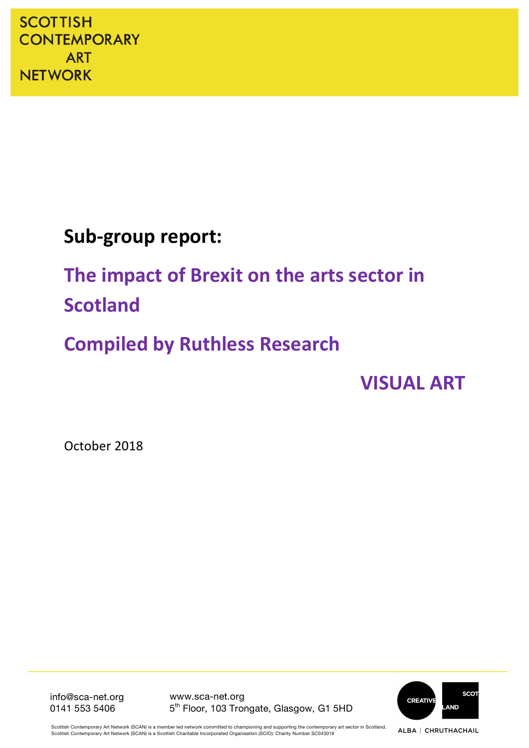# Sub-group report:

# The impact of Brexit on the arts sector in **Scotland**

# **Compiled by Ruthless Research**

**VISUAL ART** 

October 2018

**SCOT** CREATIVE **AND** 

info@sca-net.org 0141 553 5406

www.sca-net.org 5<sup>th</sup> Floor, 103 Trongate, Glasgow, G1 5HD

Scottish Contemporary Art Network (SCAN) is a member led network committed to championing and supporting the contemporary art sector in Scotland. Scottish Contemporary Art Network (SCAN) is a Scottish Charitable Incorporated Organisation (SCIO): Charity Number SC043016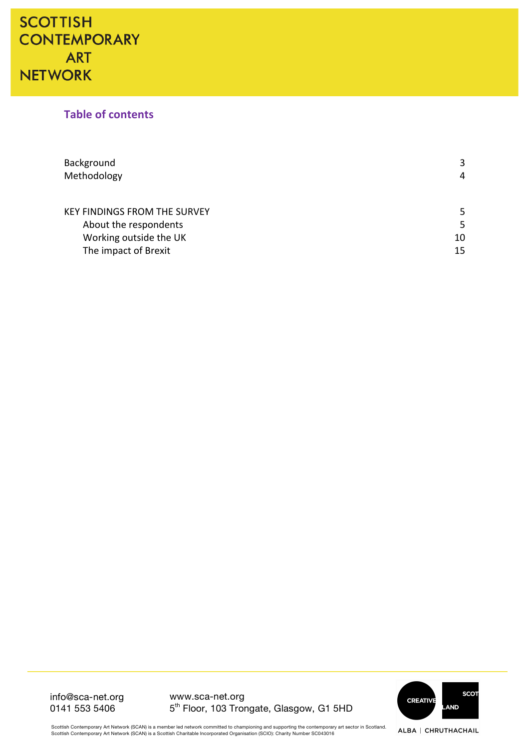### **Table of contents**

| Background                          | 3  |
|-------------------------------------|----|
| Methodology                         | 4  |
|                                     |    |
| <b>KEY FINDINGS FROM THE SURVEY</b> | 5  |
| About the respondents               | 5  |
| Working outside the UK              | 10 |
| The impact of Brexit                | 15 |

info@sca-net.org 0141 553 5406

www.sca-net.org 5th Floor, 103 Trongate, Glasgow, G1 5HD



ALBA | CHRUTHACHAIL

Scottish Contemporary Art Network (SCAN) is a member led network committed to championing and supporting the contemporary art sector in Scotland.<br>Scottish Contemporary Art Network (SCAN) is a Scottish Charitable Incorporat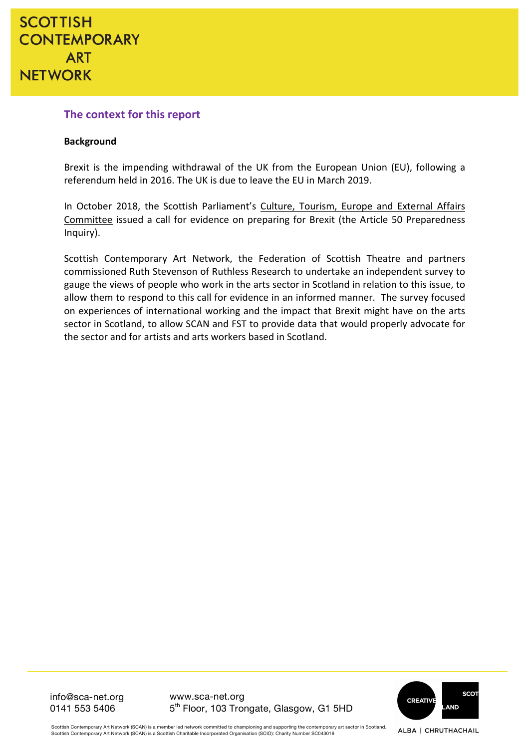### **The context for this report**

#### **Background**

Brexit is the impending withdrawal of the UK from the European Union (EU), following a referendum held in 2016. The UK is due to leave the EU in March 2019.

In October 2018, the Scottish Parliament's Culture, Tourism, Europe and External Affairs Committee issued a call for evidence on preparing for Brexit (the Article 50 Preparedness Inquiry).

Scottish Contemporary Art Network, the Federation of Scottish Theatre and partners commissioned Ruth Stevenson of Ruthless Research to undertake an independent survey to gauge the views of people who work in the arts sector in Scotland in relation to this issue, to allow them to respond to this call for evidence in an informed manner. The survey focused on experiences of international working and the impact that Brexit might have on the arts sector in Scotland, to allow SCAN and FST to provide data that would properly advocate for the sector and for artists and arts workers based in Scotland.

info@sca-net.org 0141 553 5406

www.sca-net.org 5th Floor, 103 Trongate, Glasgow, G1 5HD



ALBA | CHRUTHACHAIL

Scottish Contemporary Art Network (SCAN) is a member led network committed to championing and supporting the contemporary art sector in Scotland. Scottish Contemporary Art Network (SCAN) is a Scottish Charitable Incorporated Organisation (SCIO): Charity Number SC043016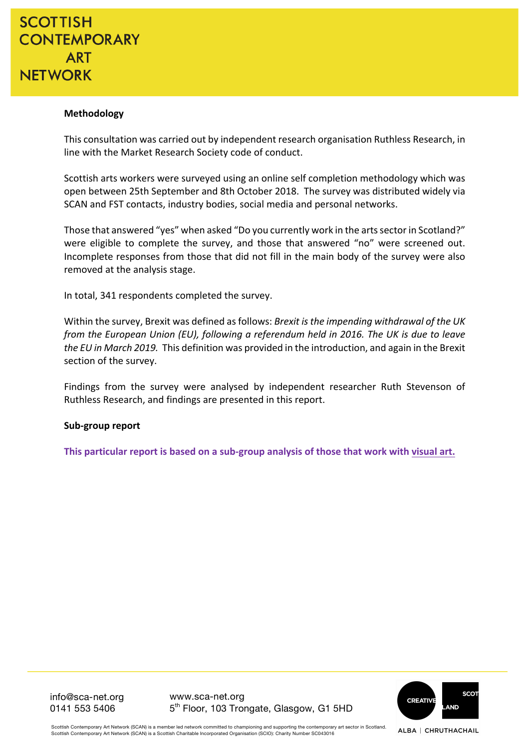#### **Methodology**

This consultation was carried out by independent research organisation Ruthless Research, in line with the Market Research Society code of conduct.

Scottish arts workers were surveyed using an online self completion methodology which was open between 25th September and 8th October 2018. The survey was distributed widely via SCAN and FST contacts, industry bodies, social media and personal networks.

Those that answered "yes" when asked "Do you currently work in the arts sector in Scotland?" were eligible to complete the survey, and those that answered "no" were screened out. Incomplete responses from those that did not fill in the main body of the survey were also removed at the analysis stage.

In total, 341 respondents completed the survey.

Within the survey, Brexit was defined as follows: *Brexit is the impending withdrawal of the UK from the European Union (EU), following a referendum held in 2016. The UK is due to leave* the EU in March 2019. This definition was provided in the introduction, and again in the Brexit section of the survey.

Findings from the survey were analysed by independent researcher Ruth Stevenson of Ruthless Research, and findings are presented in this report.

#### Sub-group report

This particular report is based on a sub-group analysis of those that work with visual art.

**SCO CREATIVE AND** 

info@sca-net.org 0141 553 5406

www.sca-net.org 5th Floor, 103 Trongate, Glasgow, G1 5HD

Scottish Contemporary Art Network (SCAN) is a member led network committed to championing and supporting the contemporary art sector in Scotland Scottish Contemporary Art Network (SCAN) is a Scottish Charitable Incorporated Organisation (SCIO): Charity Number SC043016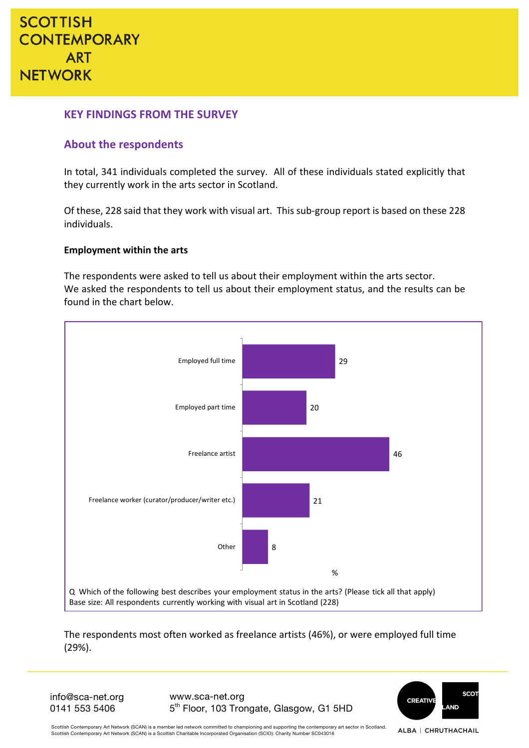### **KEY FINDINGS FROM THE SURVEY**

### **About the respondents**

In total, 341 individuals completed the survey. All of these individuals stated explicitly that they currently work in the arts sector in Scotland.

Of these, 228 said that they work with visual art. This sub-group report is based on these 228 individuals.

#### **Employment within the arts**

The respondents were asked to tell us about their employment within the arts sector. We asked the respondents to tell us about their employment status, and the results can be found in the chart below.



The respondents most often worked as freelance artists (46%), or were employed full time (29%).

info@sca-net.org 0141 553 5406

www.sca-net.org 5th Floor, 103 Trongate, Glasgow, G1 5HD



Scottish Contemporary Art Network (SCAN) is a member led network committed to championing and supporting the contemporary art sector in Scotland. Scottish Contemporary Art Network (SCAN) is a Scottish Charitable Incorporated Organisation (SCIO): Charity Number SC043016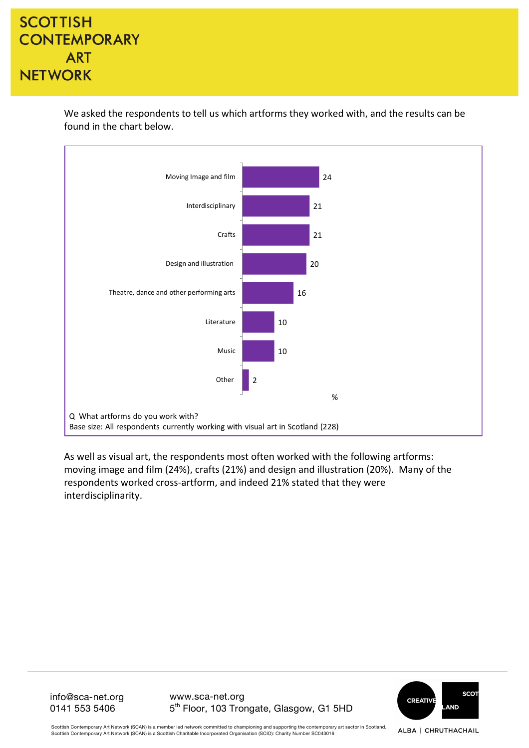

We asked the respondents to tell us which artforms they worked with, and the results can be found in the chart below.

As well as visual art, the respondents most often worked with the following artforms: moving image and film (24%), crafts (21%) and design and illustration (20%). Many of the respondents worked cross-artform, and indeed 21% stated that they were interdisciplinarity. 

> **SCOT CREATIVE AND**

info@sca-net.org 0141 553 5406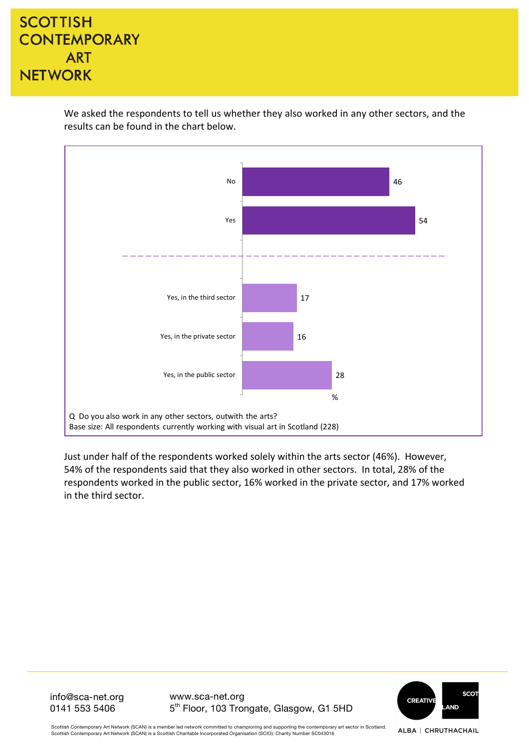We asked the respondents to tell us whether they also worked in any other sectors, and the results can be found in the chart below.



Just under half of the respondents worked solely within the arts sector (46%). However, 54% of the respondents said that they also worked in other sectors. In total, 28% of the respondents worked in the public sector, 16% worked in the private sector, and 17% worked in the third sector.

> **SCOT CREATIVE AND**

info@sca-net.org 0141 553 5406

www.sca-net.org 5th Floor, 103 Trongate, Glasgow, G1 5HD

Scottish Contemporary Art Network (SCAN) is a member led network committed to championing and supporting the contemporary art sector in Scotland. Scottish Contemporary Art Network (SCAN) is a Scottish Charitable Incorporated Organisation (SCIO): Charity Number SC043016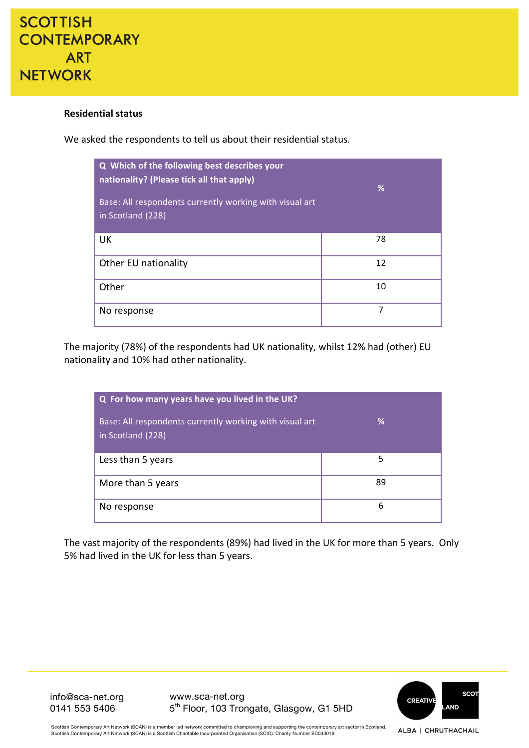

#### **Residential status**

We asked the respondents to tell us about their residential status.

| Q Which of the following best describes your<br>nationality? (Please tick all that apply)<br>Base: All respondents currently working with visual art<br>in Scotland (228) | %  |
|---------------------------------------------------------------------------------------------------------------------------------------------------------------------------|----|
| UK                                                                                                                                                                        | 78 |
| Other EU nationality                                                                                                                                                      | 12 |
| Other                                                                                                                                                                     | 10 |
| No response                                                                                                                                                               | 7  |

The majority (78%) of the respondents had UK nationality, whilst 12% had (other) EU nationality and 10% had other nationality.

| Q For how many years have you lived in the UK?                               |    |  |  |
|------------------------------------------------------------------------------|----|--|--|
| Base: All respondents currently working with visual art<br>in Scotland (228) | ℅  |  |  |
| Less than 5 years                                                            | 5  |  |  |
| More than 5 years                                                            | 89 |  |  |
| No response                                                                  | 6  |  |  |

The vast majority of the respondents (89%) had lived in the UK for more than 5 years. Only 5% had lived in the UK for less than 5 years.

> **SCOT** CREATIVE **AND**

info@sca-net.org 0141 553 5406

www.sca-net.org 5th Floor, 103 Trongate, Glasgow, G1 5HD

Scottish Contemporary Art Network (SCAN) is a member led network committed to championing and supporting the contemporary art sector in Scotland. Scottish Contemporary Art Network (SCAN) is a Scottish Charitable Incorporated Organisation (SCIO): Charity Number SC043016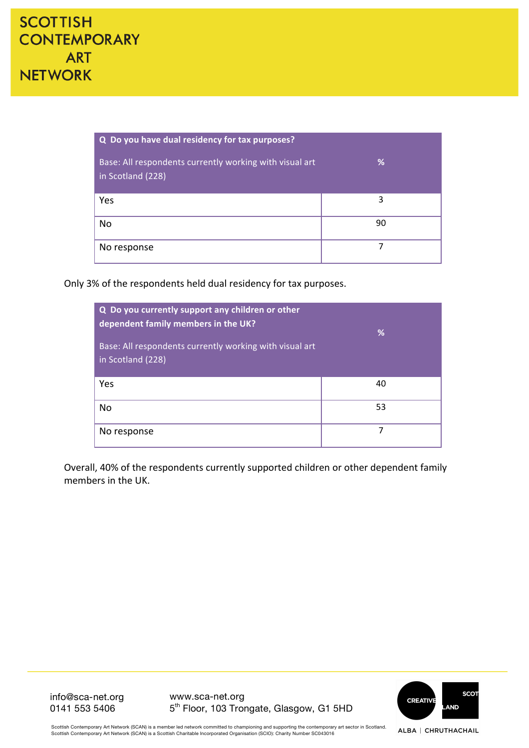| Q Do you have dual residency for tax purposes?                               |    |  |  |
|------------------------------------------------------------------------------|----|--|--|
| Base: All respondents currently working with visual art<br>in Scotland (228) | %  |  |  |
| Yes                                                                          | 3  |  |  |
| No                                                                           | 90 |  |  |
| No response                                                                  | 7  |  |  |

Only 3% of the respondents held dual residency for tax purposes.

| Q Do you currently support any children or other<br>dependent family members in the UK?<br>Base: All respondents currently working with visual art<br>in Scotland (228) | %  |
|-------------------------------------------------------------------------------------------------------------------------------------------------------------------------|----|
| Yes                                                                                                                                                                     | 40 |
| No                                                                                                                                                                      | 53 |
| No response                                                                                                                                                             | 7  |

Overall, 40% of the respondents currently supported children or other dependent family members in the UK.



info@sca-net.org 0141 553 5406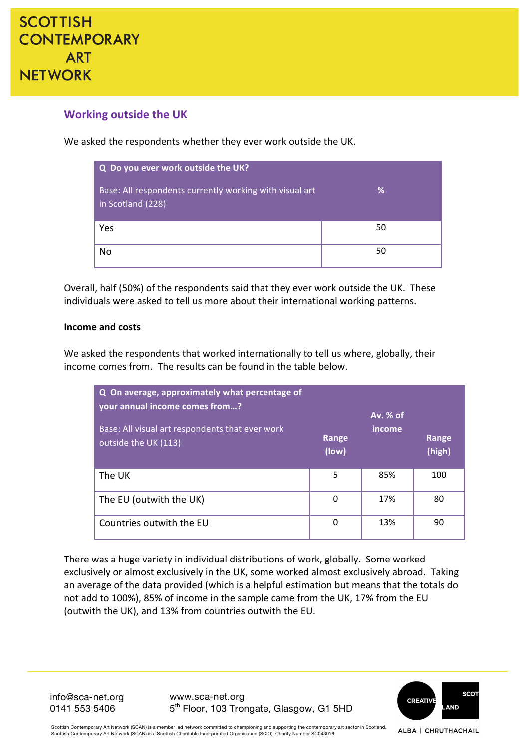

### **Working outside the UK**

We asked the respondents whether they ever work outside the UK.

| Q Do you ever work outside the UK?                                           |    |
|------------------------------------------------------------------------------|----|
| Base: All respondents currently working with visual art<br>in Scotland (228) | ℅  |
| Yes                                                                          | 50 |
| No                                                                           | 50 |

Overall, half (50%) of the respondents said that they ever work outside the UK. These individuals were asked to tell us more about their international working patterns.

#### **Income and costs**

We asked the respondents that worked internationally to tell us where, globally, their income comes from. The results can be found in the table below.

| Q On average, approximately what percentage of<br>your annual income comes from?<br>Base: All visual art respondents that ever work<br>outside the UK (113) | Range<br>(low) | Av. % of<br>income | Range<br>(high) |
|-------------------------------------------------------------------------------------------------------------------------------------------------------------|----------------|--------------------|-----------------|
| The UK                                                                                                                                                      | 5              | 85%                | 100             |
| The EU (outwith the UK)                                                                                                                                     | 0              | 17%                | 80              |
| Countries outwith the EU                                                                                                                                    | 0              | 13%                | 90              |

There was a huge variety in individual distributions of work, globally. Some worked exclusively or almost exclusively in the UK, some worked almost exclusively abroad. Taking an average of the data provided (which is a helpful estimation but means that the totals do not add to 100%), 85% of income in the sample came from the UK, 17% from the EU (outwith the UK), and 13% from countries outwith the EU.

info@sca-net.org 0141 553 5406

www.sca-net.org 5th Floor, 103 Trongate, Glasgow, G1 5HD



Scottish Contemporary Art Network (SCAN) is a member led network committed to championing and supporting the contemporary art sector in Scotland. Scottish Contemporary Art Network (SCAN) is a Scottish Charitable Incorporated Organisation (SCIO): Charity Number SC043016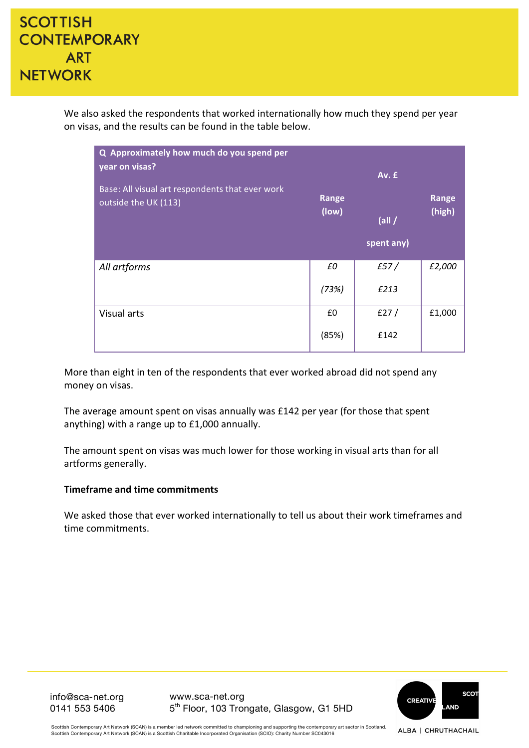We also asked the respondents that worked internationally how much they spend per year on visas, and the results can be found in the table below.

| Q Approximately how much do you spend per<br>year on visas?<br>Base: All visual art respondents that ever work<br>outside the UK (113) | Range<br>(low) | Av. £<br>$\left(\frac{1}{2}\right)$<br>spent any) | Range<br>(high) |
|----------------------------------------------------------------------------------------------------------------------------------------|----------------|---------------------------------------------------|-----------------|
| All artforms                                                                                                                           | £0             | f57/                                              | £2,000          |
|                                                                                                                                        | (73%)          | £213                                              |                 |
| <b>Visual arts</b>                                                                                                                     | £0             | f27/                                              | £1,000          |
|                                                                                                                                        | (85%)          | £142                                              |                 |

More than eight in ten of the respondents that ever worked abroad did not spend any money on visas.

The average amount spent on visas annually was £142 per year (for those that spent anything) with a range up to  $£1,000$  annually.

The amount spent on visas was much lower for those working in visual arts than for all artforms generally.

#### **Timeframe and time commitments**

We asked those that ever worked internationally to tell us about their work timeframes and time commitments.

> **SCOT CREATIVE** AND

info@sca-net.org 0141 553 5406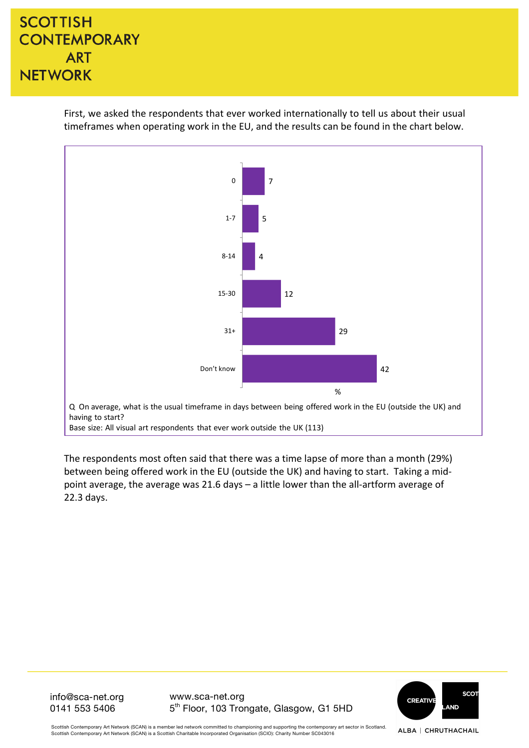First, we asked the respondents that ever worked internationally to tell us about their usual timeframes when operating work in the EU, and the results can be found in the chart below.



Base size: All visual art respondents that ever work outside the UK (113)

The respondents most often said that there was a time lapse of more than a month (29%) between being offered work in the EU (outside the UK) and having to start. Taking a midpoint average, the average was 21.6 days  $-$  a little lower than the all-artform average of 22.3 days.

> **SCOT CREATIVE** AND

info@sca-net.org 0141 553 5406

www.sca-net.org 5th Floor, 103 Trongate, Glasgow, G1 5HD

Scottish Contemporary Art Network (SCAN) is a member led network committed to championing and supporting the contemporary art sector in Scotland. ALBA | CHRUTHACHAIL Scottish Contemporary Art Network (SCAN) is a Scottish Charitable Incorporated Organisation (SCIO): Charity Number SC043016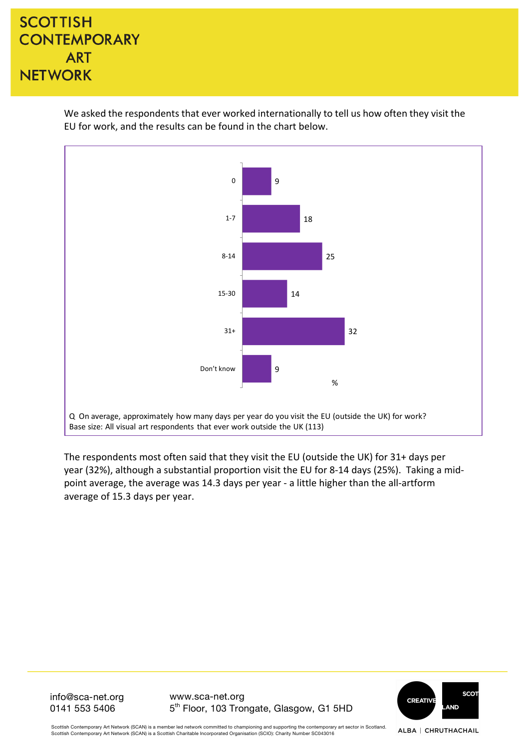We asked the respondents that ever worked internationally to tell us how often they visit the EU for work, and the results can be found in the chart below.



The respondents most often said that they visit the EU (outside the UK) for 31+ days per year (32%), although a substantial proportion visit the EU for 8-14 days (25%). Taking a midpoint average, the average was 14.3 days per year - a little higher than the all-artform average of 15.3 days per year.

> **SCOT CREATIVE AND**

info@sca-net.org 0141 553 5406

www.sca-net.org 5th Floor, 103 Trongate, Glasgow, G1 5HD

Scottish Contemporary Art Network (SCAN) is a member led network committed to championing and supporting the contemporary art sector in Scotland. ALBA | CHRUTHACHAIL Scottish Contemporary Art Network (SCAN) is a Scottish Charitable Incorporated Organisation (SCIO): Charity Number SC043016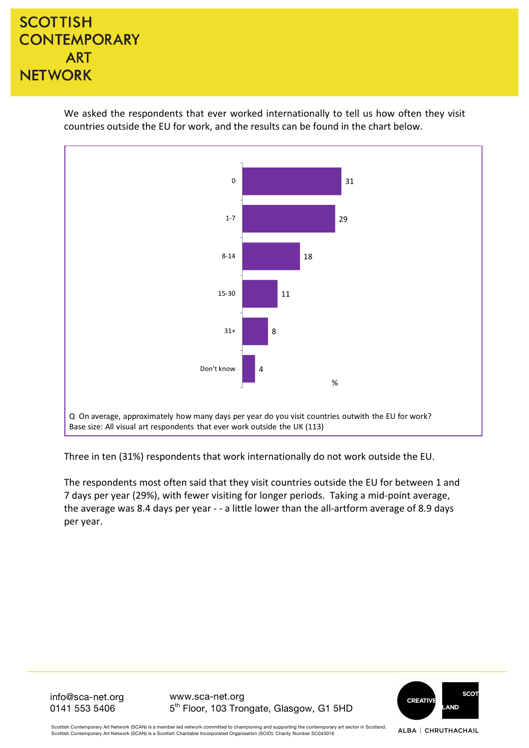We asked the respondents that ever worked internationally to tell us how often they visit countries outside the EU for work, and the results can be found in the chart below.



Three in ten (31%) respondents that work internationally do not work outside the EU.

The respondents most often said that they visit countries outside the EU for between 1 and 7 days per year (29%), with fewer visiting for longer periods. Taking a mid-point average, the average was 8.4 days per year - - a little lower than the all-artform average of 8.9 days per year.

> **SCOT CREATIVE AND**

info@sca-net.org 0141 553 5406

www.sca-net.org 5th Floor, 103 Trongate, Glasgow, G1 5HD

Scottish Contemporary Art Network (SCAN) is a member led network committed to championing and supporting the contemporary art sector in Scotland. ALBA | CHRUTHACHAIL Scottish Contemporary Art Network (SCAN) is a Scottish Charitable Incorporated Organisation (SCIO): Charity Number SC043016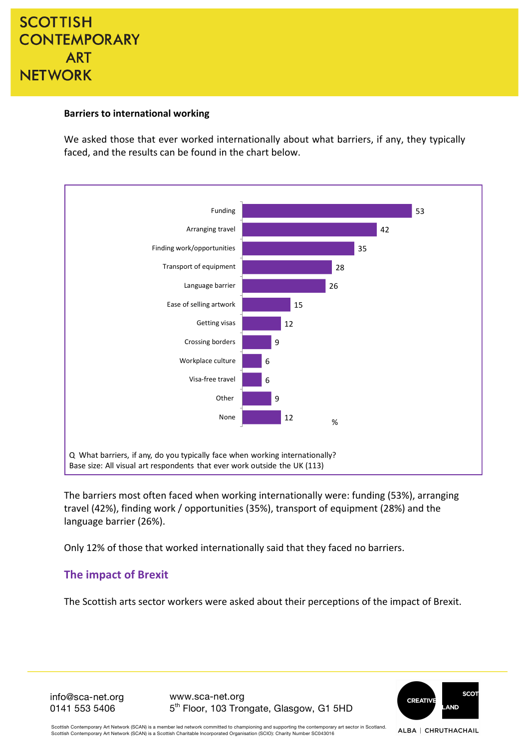### **Barriers to international working**

We asked those that ever worked internationally about what barriers, if any, they typically faced, and the results can be found in the chart below.



The barriers most often faced when working internationally were: funding (53%), arranging travel (42%), finding work / opportunities (35%), transport of equipment (28%) and the language barrier (26%).

Only 12% of those that worked internationally said that they faced no barriers.

### **The impact of Brexit**

The Scottish arts sector workers were asked about their perceptions of the impact of Brexit.

info@sca-net.org 0141 553 5406

www.sca-net.org 5th Floor, 103 Trongate, Glasgow, G1 5HD



Scottish Contemporary Art Network (SCAN) is a member led network committed to championing and supporting the contemporary art sector in Scotland Scottish Contemporary Art Network (SCAN) is a Scottish Charitable Incorporated Organisation (SCIO): Charity Number SC043016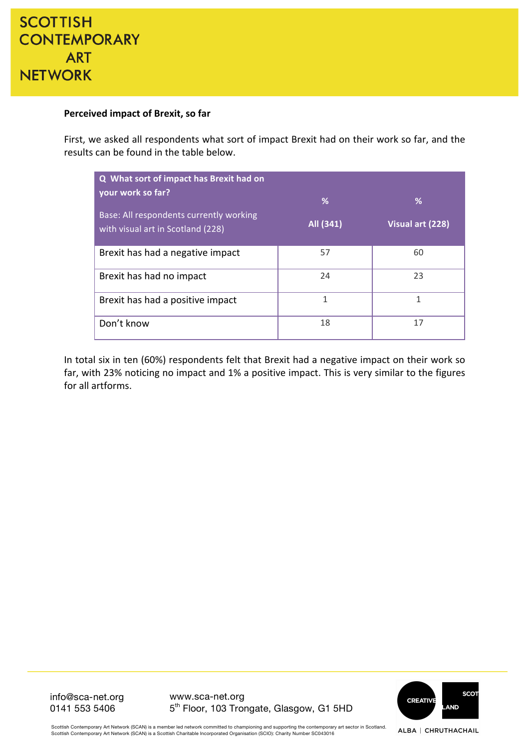#### **Perceived impact of Brexit, so far**

First, we asked all respondents what sort of impact Brexit had on their work so far, and the results can be found in the table below.

| Q What sort of impact has Brexit had on                                      |           |                  |
|------------------------------------------------------------------------------|-----------|------------------|
| your work so far?                                                            | %         | %                |
| Base: All respondents currently working<br>with visual art in Scotland (228) | All (341) | Visual art (228) |
| Brexit has had a negative impact                                             | 57        | 60               |
| Brexit has had no impact                                                     | 24        | 23               |
| Brexit has had a positive impact                                             | 1         | 1                |
| Don't know                                                                   | 18        | 17               |

In total six in ten (60%) respondents felt that Brexit had a negative impact on their work so far, with 23% noticing no impact and 1% a positive impact. This is very similar to the figures for all artforms.

> **SCOT** CREATIVE **AND**

info@sca-net.org 0141 553 5406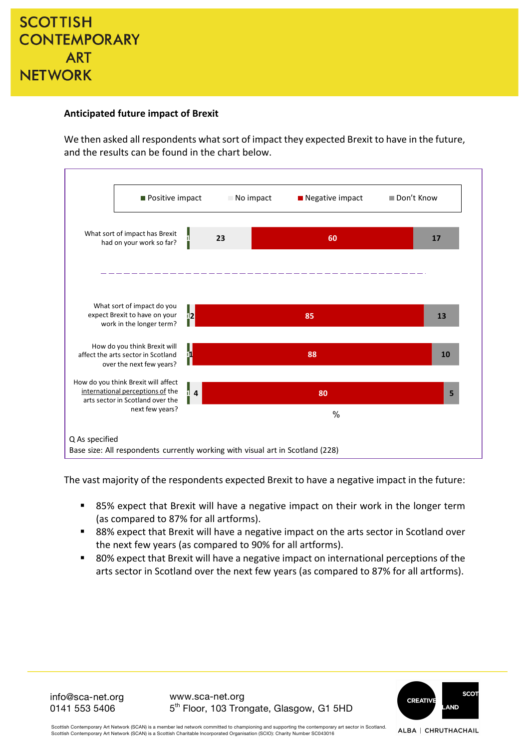

#### **Anticipated future impact of Brexit**

We then asked all respondents what sort of impact they expected Brexit to have in the future, and the results can be found in the chart below.



The vast majority of the respondents expected Brexit to have a negative impact in the future:

- 85% expect that Brexit will have a negative impact on their work in the longer term (as compared to 87% for all artforms).
- 88% expect that Brexit will have a negative impact on the arts sector in Scotland over the next few years (as compared to 90% for all artforms).
- 80% expect that Brexit will have a negative impact on international perceptions of the arts sector in Scotland over the next few years (as compared to 87% for all artforms).

info@sca-net.org 0141 553 5406

www.sca-net.org 5<sup>th</sup> Floor, 103 Trongate, Glasgow, G1 5HD



ALBA | CHRUTHACHAIL

Scottish Contemporary Art Network (SCAN) is a member led network committed to championing and supporting the contemporary art sector in Scotland. Scottish Contemporary Art Network (SCAN) is a Scottish Charitable Incorporated Organisation (SCIO): Charity Number SC043016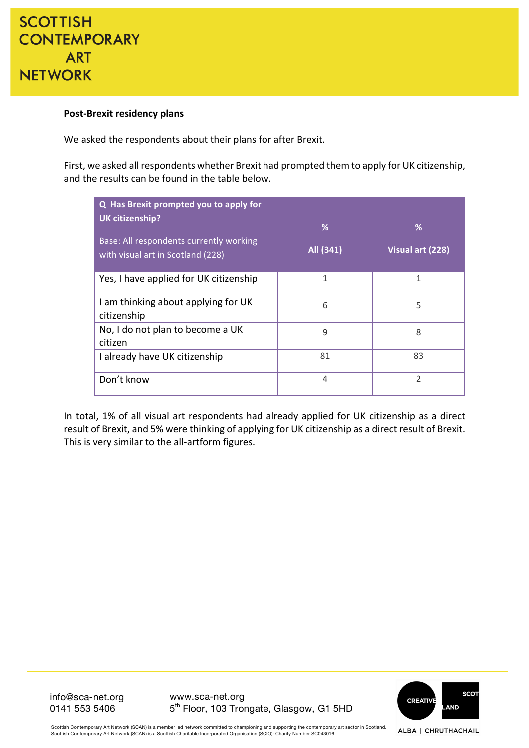#### **Post-Brexit residency plans**

We asked the respondents about their plans for after Brexit.

First, we asked all respondents whether Brexit had prompted them to apply for UK citizenship, and the results can be found in the table below.

| Q Has Brexit prompted you to apply for<br><b>UK citizenship?</b><br>Base: All respondents currently working<br>with visual art in Scotland (228) | %<br>All (341) | %<br>Visual art (228) |
|--------------------------------------------------------------------------------------------------------------------------------------------------|----------------|-----------------------|
| Yes, I have applied for UK citizenship                                                                                                           | 1              | 1                     |
| I am thinking about applying for UK<br>citizenship                                                                                               | 6              | 5                     |
| No, I do not plan to become a UK<br>citizen                                                                                                      | 9              | 8                     |
| I already have UK citizenship                                                                                                                    | 81             | 83                    |
| Don't know                                                                                                                                       | 4              | $\mathfrak{D}$        |

In total, 1% of all visual art respondents had already applied for UK citizenship as a direct result of Brexit, and 5% were thinking of applying for UK citizenship as a direct result of Brexit. This is very similar to the all-artform figures.



info@sca-net.org 0141 553 5406

www.sca-net.org 5th Floor, 103 Trongate, Glasgow, G1 5HD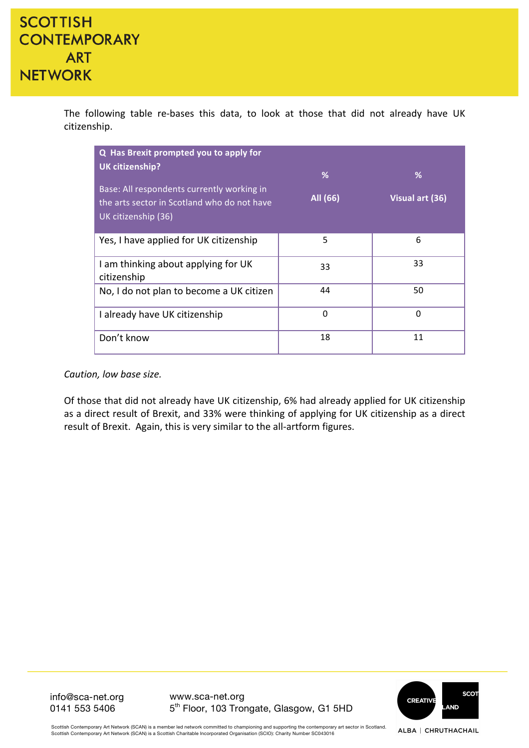The following table re-bases this data, to look at those that did not already have UK citizenship.

| Q Has Brexit prompted you to apply for<br>UK citizenship?                                                        |               |                      |
|------------------------------------------------------------------------------------------------------------------|---------------|----------------------|
| Base: All respondents currently working in<br>the arts sector in Scotland who do not have<br>UK citizenship (36) | %<br>All (66) | %<br>Visual art (36) |
| Yes, I have applied for UK citizenship                                                                           | 5             | 6                    |
| I am thinking about applying for UK<br>citizenship                                                               | 33            | 33                   |
| No, I do not plan to become a UK citizen                                                                         | 44            | 50                   |
| I already have UK citizenship                                                                                    | $\mathbf 0$   | $\Omega$             |
| Don't know                                                                                                       | 18            | 11                   |

*Caution, low base size.*

Of those that did not already have UK citizenship, 6% had already applied for UK citizenship as a direct result of Brexit, and 33% were thinking of applying for UK citizenship as a direct result of Brexit. Again, this is very similar to the all-artform figures.

> **SCOT** CREATIVE **AND**

info@sca-net.org 0141 553 5406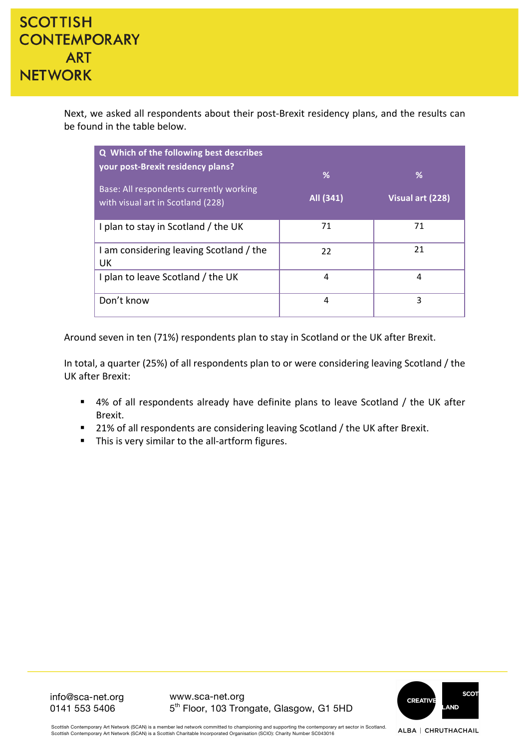Next, we asked all respondents about their post-Brexit residency plans, and the results can be found in the table below.

| Q Which of the following best describes<br>your post-Brexit residency plans?<br>Base: All respondents currently working<br>with visual art in Scotland (228) | %<br>All (341) | %<br>Visual art (228) |
|--------------------------------------------------------------------------------------------------------------------------------------------------------------|----------------|-----------------------|
| I plan to stay in Scotland / the UK                                                                                                                          | 71             | 71                    |
| I am considering leaving Scotland / the<br>UK                                                                                                                | 22             | 21                    |
| I plan to leave Scotland / the UK                                                                                                                            | 4              | 4                     |
| Don't know                                                                                                                                                   | 4              | 3                     |

Around seven in ten (71%) respondents plan to stay in Scotland or the UK after Brexit.

In total, a quarter (25%) of all respondents plan to or were considering leaving Scotland / the UK after Brexit:

- 4% of all respondents already have definite plans to leave Scotland / the UK after Brexit.
- 21% of all respondents are considering leaving Scotland / the UK after Brexit.
- This is very similar to the all-artform figures.